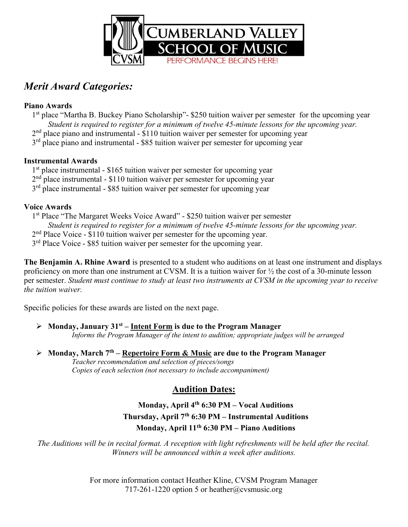

# Merit Award Categories:

#### Piano Awards

1st place "Martha B. Buckey Piano Scholarship"- \$250 tuition waiver per semester for the upcoming year Student is required to register for a minimum of twelve 45-minute lessons for the upcoming year.  $2<sup>nd</sup>$  place piano and instrumental - \$110 tuition waiver per semester for upcoming year 3<sup>rd</sup> place piano and instrumental - \$85 tuition waiver per semester for upcoming year

### Instrumental Awards

1<sup>st</sup> place instrumental - \$165 tuition waiver per semester for upcoming year

2<sup>nd</sup> place instrumental - \$110 tuition waiver per semester for upcoming year

 $3<sup>rd</sup>$  place instrumental - \$85 tuition waiver per semester for upcoming year

### Voice Awards

1<sup>st</sup> Place "The Margaret Weeks Voice Award" - \$250 tuition waiver per semester Student is required to register for a minimum of twelve 45-minute lessons for the upcoming year. 2<sup>nd</sup> Place Voice - \$110 tuition waiver per semester for the upcoming year. 3<sup>rd</sup> Place Voice - \$85 tuition waiver per semester for the upcoming year.

The Benjamin A. Rhine Award is presented to a student who auditions on at least one instrument and displays proficiency on more than one instrument at CVSM. It is a tuition waiver for ½ the cost of a 30-minute lesson per semester. Student must continue to study at least two instruments at CVSM in the upcoming year to receive the tuition waiver.

Specific policies for these awards are listed on the next page.

### $\triangleright$  Monday, January 31<sup>st</sup> – Intent Form is due to the Program Manager

Informs the Program Manager of the intent to audition; appropriate judges will be arranged

### Monday, March  $7<sup>th</sup>$  – Repertoire Form & Music are due to the Program Manager

Teacher recommendation and selection of pieces/songs Copies of each selection (not necessary to include accompaniment)

## Audition Dates:

### Monday, April  $4<sup>th</sup>$  6:30 PM – Vocal Auditions Thursday, April  $7<sup>th</sup>$  6:30 PM – Instrumental Auditions Monday, April  $11<sup>th</sup> 6:30 PM$  – Piano Auditions

The Auditions will be in recital format. A reception with light refreshments will be held after the recital. Winners will be announced within a week after auditions.

> For more information contact Heather Kline, CVSM Program Manager 717-261-1220 option 5 or heather@cvsmusic.org